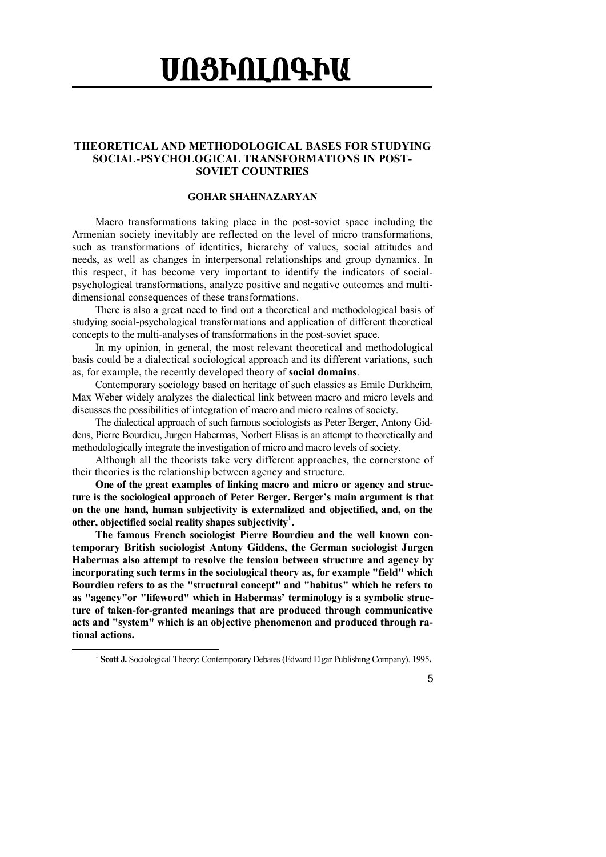## **UN3ÞALN4ÞU**

## **THEORETICAL AND METHODOLOGICAL BASES FOR STUDYING SOCIAL-PSYCHOLOGICAL TRANSFORMATIONS IN POST-SOVIET COUNTRIES**

## **GOHAR SHAHNAZARYAN**

Macro transformations taking place in the post-soviet space including the Armenian society inevitably are reflected on the level of micro transformations, such as transformations of identities, hierarchy of values, social attitudes and needs, as well as changes in interpersonal relationships and group dynamics. In this respect, it has become very important to identify the indicators of socialpsychological transformations, analyze positive and negative outcomes and multidimensional consequences of these transformations.

There is also a great need to find out a theoretical and methodological basis of studying social-psychological transformations and application of different theoretical concepts to the multi-analyses of transformations in the post-soviet space.

In my opinion, in general, the most relevant theoretical and methodological basis could be a dialectical sociological approach and its different variations, such as, for example, the recently developed theory of **social domains**.

Contemporary sociology based on heritage of such classics as Emile Durkheim, Max Weber widely analyzes the dialectical link between macro and micro levels and discusses the possibilities of integration of macro and micro realms of society.

The dialectical approach of such famous sociologists as Peter Berger, Antony Giddens, Pierre Bourdieu, Jurgen Habermas, Norbert Elisas is an attempt to theoretically and methodologically integrate the investigation of micro and macro levels of society.

Although all the theorists take very different approaches, the cornerstone of their theories is the relationship between agency and structure.

**One of the great examples of linking macro and micro or agency and structure is the sociological approach of Peter Berger. Berger's main argument is that on the one hand, human subjectivity is externalized and objectified, and, on the other, objectified social reality shapes subjectivity<sup>1</sup> .**

**The famous French sociologist Pierre Bourdieu and the well known contemporary British sociologist Antony Giddens, the German sociologist Jurgen Habermas also attempt to resolve the tension between structure and agency by incorporating such terms in the sociological theory as, for example "field" which Bourdieu refers to as the "structural concept" and "habitus" which he refers to as "agency"or "lifeword" which in Habermas' terminology is a symbolic structure of taken-for-granted meanings that are produced through communicative acts and "system" which is an objective phenomenon and produced through rational actions.**

5

<sup>1</sup> **Scott J.** Sociological Theory: Contemporary Debates (Edward Elgar Publishing Company). 1995**.**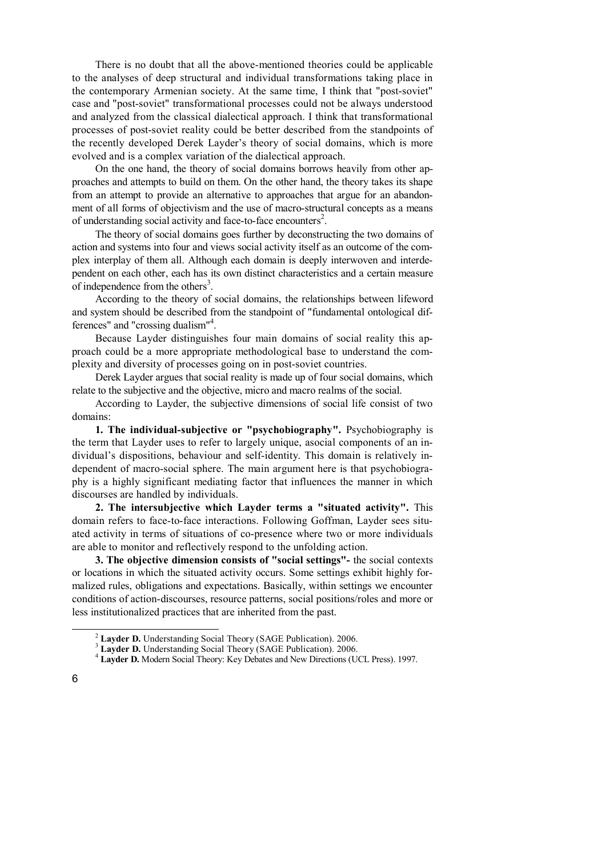There is no doubt that all the above-mentioned theories could be applicable to the analyses of deep structural and individual transformations taking place in the contemporary Armenian society. At the same time, I think that "post-soviet" case and "post-soviet" transformational processes could not be always understood and analyzed from the classical dialectical approach. I think that transformational processes of post-soviet reality could be better described from the standpoints of the recently developed Derek Layder's theory of social domains, which is more evolved and is a complex variation of the dialectical approach.

On the one hand, the theory of social domains borrows heavily from other approaches and attempts to build on them. On the other hand, the theory takes its shape from an attempt to provide an alternative to approaches that argue for an abandonment of all forms of objectivism and the use of macro-structural concepts as a means of understanding social activity and face-to-face encounters<sup>2</sup>.

The theory of social domains goes further by deconstructing the two domains of action and systems into four and views social activity itself as an outcome of the complex interplay of them all. Although each domain is deeply interwoven and interdependent on each other, each has its own distinct characteristics and a certain measure of independence from the others<sup>3</sup>.

According to the theory of social domains, the relationships between lifeword and system should be described from the standpoint of "fundamental ontological differences" and "crossing dualism"<sup>4</sup> .

Because Layder distinguishes four main domains of social reality this approach could be a more appropriate methodological base to understand the complexity and diversity of processes going on in post-soviet countries.

Derek Layder argues that social reality is made up of four social domains, which relate to the subjective and the objective, micro and macro realms of the social.

According to Layder, the subjective dimensions of social life consist of two domains:

**1. The individual-subjective or "psychobiography".** Psychobiography is the term that Layder uses to refer to largely unique, asocial components of an individual's dispositions, behaviour and self-identity. This domain is relatively independent of macro-social sphere. The main argument here is that psychobiography is a highly significant mediating factor that influences the manner in which discourses are handled by individuals.

**2. The intersubjective which Layder terms a "situated activity".** This domain refers to face-to-face interactions. Following Goffman, Layder sees situated activity in terms of situations of co-presence where two or more individuals are able to monitor and reflectively respond to the unfolding action.

**3. The objective dimension consists of "social settings"-** the social contexts or locations in which the situated activity occurs. Some settings exhibit highly formalized rules, obligations and expectations. Basically, within settings we encounter conditions of action-discourses, resource patterns, social positions/roles and more or less institutionalized practices that are inherited from the past.

<sup>2</sup> **Layder D.** Understanding Social Theory (SAGE Publication). 2006.

<sup>&</sup>lt;sup>3</sup> Layder D. Understanding Social Theory (SAGE Publication). 2006.

<sup>4</sup> **Layder D.** Modern Social Theory: Key Debates and New Directions (UCL Press). 1997.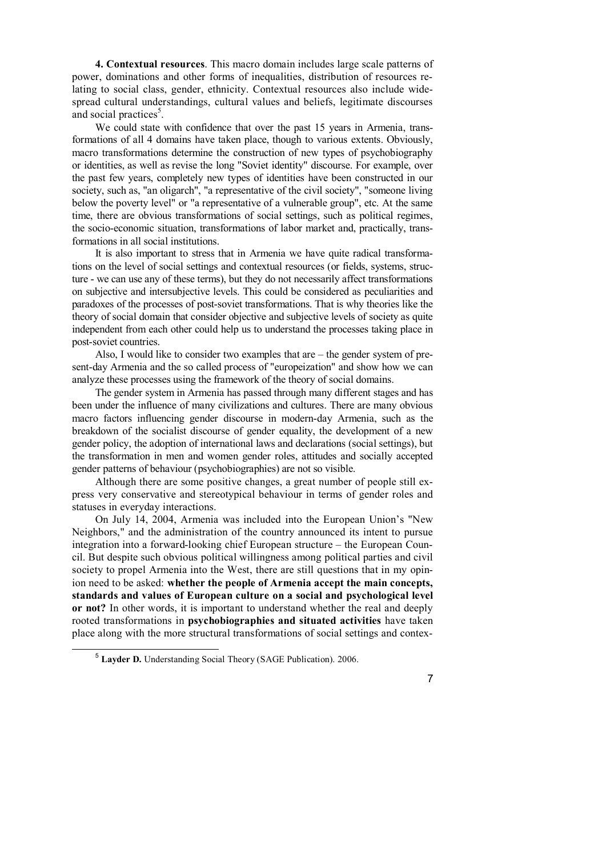**4. Contextual resources**. This macro domain includes large scale patterns of power, dominations and other forms of inequalities, distribution of resources relating to social class, gender, ethnicity. Contextual resources also include widespread cultural understandings, cultural values and beliefs, legitimate discourses and social practices<sup>5</sup>[.](#page-2-0)

We could state with confidence that over the past 15 years in Armenia, transformations of all 4 domains have taken place, though to various extents. Obviously, macro transformations determine the construction of new types of psychobiography or identities, as well as revise the long "Soviet identity" discourse. For example, over the past few years, completely new types of identities have been constructed in our society, such as, "an oligarch", "a representative of the civil society", "someone living below the poverty level" or "a representative of a vulnerable group", etc. At the same time, there are obvious transformations of social settings, such as political regimes, the socio-economic situation, transformations of labor market and, practically, transformations in all social institutions.

It is also important to stress that in Armenia we have quite radical transformations on the level of social settings and contextual resources (or fields, systems, structure - we can use any of these terms), but they do not necessarily affect transformations on subjective and intersubjective levels. This could be considered as peculiarities and paradoxes of the processes of post-soviet transformations. That is why theories like the theory of social domain that consider objective and subjective levels of society as quite independent from each other could help us to understand the processes taking place in post-soviet countries.

Also, I would like to consider two examples that are – the gender system of present-day Armenia and the so called process of "europeization" and show how we can analyze these processes using the framework of the theory of social domains.

The gender system in Armenia has passed through many different stages and has been under the influence of many civilizations and cultures. There are many obvious macro factors influencing gender discourse in modern-day Armenia, such as the breakdown of the socialist discourse of gender equality, the development of a new gender policy, the adoption of international laws and declarations (social settings), but the transformation in men and women gender roles, attitudes and socially accepted gender patterns of behaviour (psychobiographies) are not so visible.

Although there are some positive changes, a great number of people still express very conservative and stereotypical behaviour in terms of gender roles and statuses in everyday interactions.

On July 14, 2004, Armenia was included into the European Union's "New Neighbors," and the administration of the country announced its intent to pursue integration into a forward-looking chief European structure – the European Council. But despite such obvious political willingness among political parties and civil society to propel Armenia into the West, there are still questions that in my opinion need to be asked: **whether the people of Armenia accept the main concepts, standards and values of European culture on a social and psychological level or not?** In other words, it is important to understand whether the real and deeply rooted transformations in **psychobiographies and situated activities** have taken place along with the more structural transformations of social settings and contex-

7

<span id="page-2-0"></span><sup>5</sup> **Layder D.** Understanding Social Theory (SAGE Publication). 2006.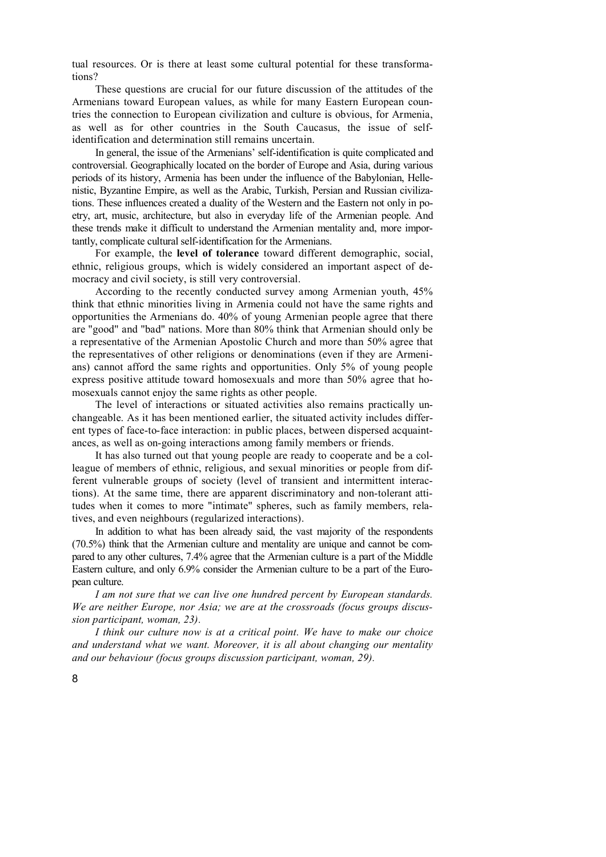tual resources. Or is there at least some cultural potential for these transformations?

These questions are crucial for our future discussion of the attitudes of the Armenians toward European values, as while for many Eastern European countries the connection to European civilization and culture is obvious, for Armenia, as well as for other countries in the South Caucasus, the issue of selfidentification and determination still remains uncertain.

In general, the issue of the Armenians' self-identification is quite complicated and controversial. Geographically located on the border of Europe and Asia, during various periods of its history, Armenia has been under the influence of the Babylonian, Hellenistic, Byzantine Empire, as well as the Arabic, Turkish, Persian and Russian civilizations. These influences created a duality of the Western and the Eastern not only in poetry, art, music, architecture, but also in everyday life of the Armenian people. And these trends make it difficult to understand the Armenian mentality and, more importantly, complicate cultural self-identification for the Armenians.

For example, the **level of tolerance** toward different demographic, social, ethnic, religious groups, which is widely considered an important aspect of democracy and civil society, is still very controversial.

According to the recently conducted survey among Armenian youth, 45% think that ethnic minorities living in Armenia could not have the same rights and opportunities the Armenians do. 40% of young Armenian people agree that there are "good" and "bad" nations. More than 80% think that Armenian should only be a representative of the Armenian Apostolic Church and more than 50% agree that the representatives of other religions or denominations (even if they are Armenians) cannot afford the same rights and opportunities. Only 5% of young people express positive attitude toward homosexuals and more than 50% agree that homosexuals cannot enjoy the same rights as other people.

The level of interactions or situated activities also remains practically unchangeable. As it has been mentioned earlier, the situated activity includes different types of face-to-face interaction: in public places, between dispersed acquaintances, as well as on-going interactions among family members or friends.

It has also turned out that young people are ready to cooperate and be a colleague of members of ethnic, religious, and sexual minorities or people from different vulnerable groups of society (level of transient and intermittent interactions). At the same time, there are apparent discriminatory and non-tolerant attitudes when it comes to more "intimate" spheres, such as family members, relatives, and even neighbours (regularized interactions).

In addition to what has been already said, the vast majority of the respondents (70.5%) think that the Armenian culture and mentality are unique and cannot be compared to any other cultures, 7.4% agree that the Armenian culture is a part of the Middle Eastern culture, and only 6.9% consider the Armenian culture to be a part of the European culture.

*I am not sure that we can live one hundred percent by European standards. We are neither Europe, nor Asia; we are at the crossroads (focus groups discussion participant, woman, 23).*

*I think our culture now is at a critical point. We have to make our choice and understand what we want. Moreover, it is all about changing our mentality and our behaviour (focus groups discussion participant, woman, 29).*